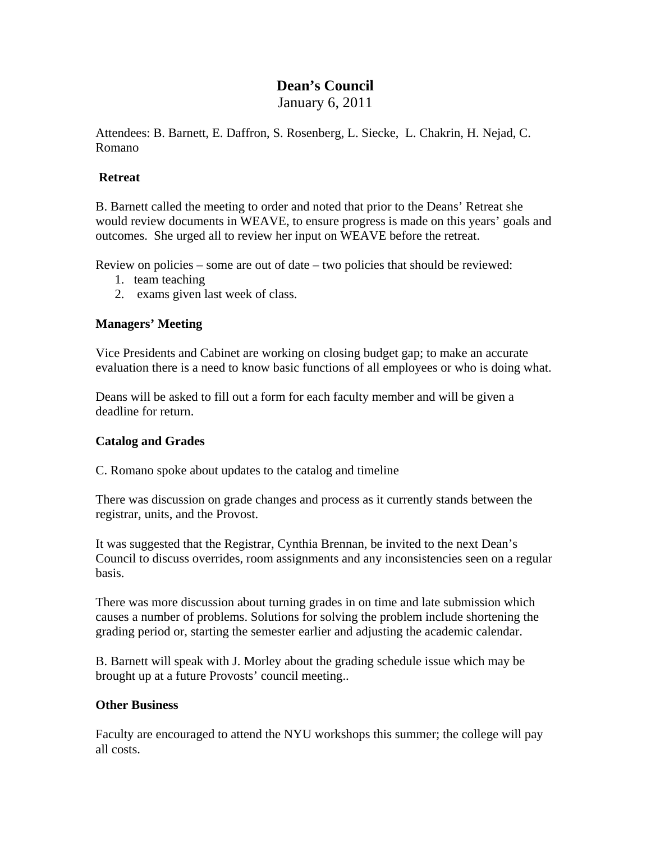# **Dean's Council**

January 6, 2011

Attendees: B. Barnett, E. Daffron, S. Rosenberg, L. Siecke, L. Chakrin, H. Nejad, C. Romano

### **Retreat**

B. Barnett called the meeting to order and noted that prior to the Deans' Retreat she would review documents in WEAVE, to ensure progress is made on this years' goals and outcomes. She urged all to review her input on WEAVE before the retreat.

Review on policies – some are out of date – two policies that should be reviewed:

- 1. team teaching
- 2. exams given last week of class.

### **Managers' Meeting**

Vice Presidents and Cabinet are working on closing budget gap; to make an accurate evaluation there is a need to know basic functions of all employees or who is doing what.

Deans will be asked to fill out a form for each faculty member and will be given a deadline for return.

#### **Catalog and Grades**

C. Romano spoke about updates to the catalog and timeline

There was discussion on grade changes and process as it currently stands between the registrar, units, and the Provost.

It was suggested that the Registrar, Cynthia Brennan, be invited to the next Dean's Council to discuss overrides, room assignments and any inconsistencies seen on a regular basis.

There was more discussion about turning grades in on time and late submission which causes a number of problems. Solutions for solving the problem include shortening the grading period or, starting the semester earlier and adjusting the academic calendar.

B. Barnett will speak with J. Morley about the grading schedule issue which may be brought up at a future Provosts' council meeting..

## **Other Business**

Faculty are encouraged to attend the NYU workshops this summer; the college will pay all costs.